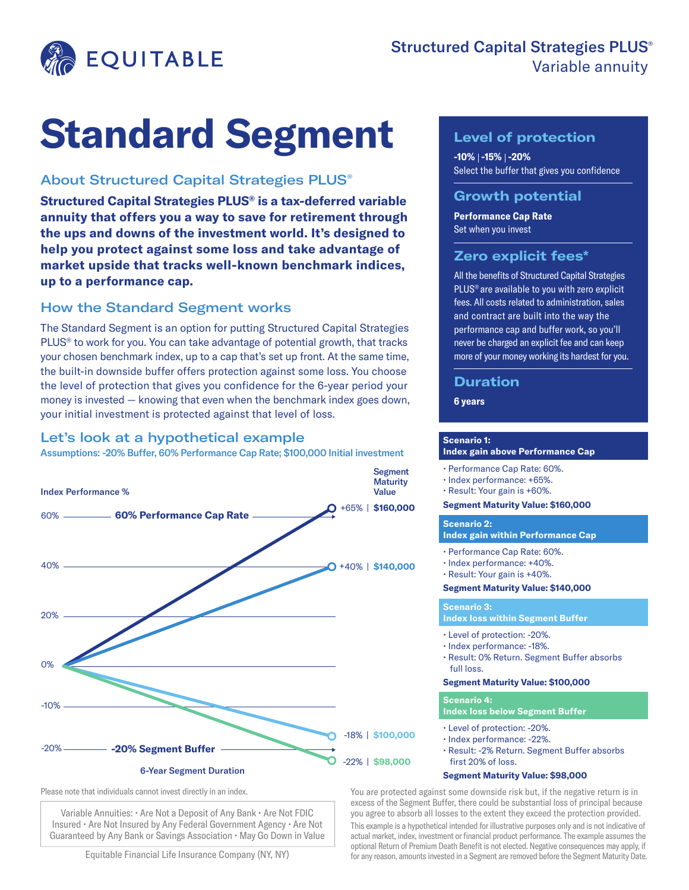

# **Standard Segment**

## About Structured Capital Strategies PLUS®

**Structured Capital Strategies PLUS® is a tax-deferred variable annuity that offers you a way to save for retirement through the ups and downs of the investment world. It's designed to help you protect against some loss and take advantage of market upside that tracks well-known benchmark indices, up to a performance cap.**

## How the Standard Segment works

The Standard Segment is an option for putting Structured Capital Strategies PLUS® to work for you. You can take advantage of potential growth, that tracks your chosen benchmark index, up to a cap that's set up front. At the same time, the built-in downside buffer offers protection against some loss. You choose the level of protection that gives you confidence for the 6-year period your money is invested — knowing that even when the benchmark index goes down, your initial investment is protected against that level of loss.

## Let's look at a hypothetical example

Assumptions: -20% Buffer, 60% Performance Cap Rate; \$100,000 Initial investment



Please note that individuals cannot invest directly in an index.

Variable Annuities: • Are Not a Deposit of Any Bank • Are Not FDIC Insured • Are Not Insured by Any Federal Government Agency • Are Not Guaranteed by Any Bank or Savings Association • May Go Down in Value

Equitable Financial Life Insurance Company (NY, NY)

## **Level of protection**

**-10% -15% -20%** Select the buffer that gives you confidence

## **Growth potential**

**Performance Cap Rate**  Set when you invest

### **Zero explicit fees\***

All the benefits of Structured Capital Strategies PLUS® are available to you with zero explicit fees. All costs related to administration, sales and contract are built into the way the performance cap and buffer work, so you'll never be charged an explicit fee and can keep more of your money working its hardest for you.

## **Duration**

# **6 years**

#### **Scenario 1:**

#### **Index gain above Performance Cap**

- Performance Cap Rate: 60%.
- Index performance: +65%.
- Result: Your gain is +60%.

**Segment Maturity Value: \$160,000**

#### **Scenario 2:**

**Index gain within Performance Cap**

- Performance Cap Rate: 60%.
- Index performance: +40%.
- Result: Your gain is +40%.

#### **Segment Maturity Value: \$140,000**

#### **Scenario 3:**

#### **Index loss within Segment Buffer**

- Level of protection: -20%.
- Index performance: -18%.
- Result: 0% Return. Segment Buffer absorbs full loss.

#### **Segment Maturity Value: \$100,000**

#### **Scenario 4:**

**Index loss below Segment Buffer**

- Level of protection: -20%.
- Index performance: -22%.
- Result: -2% Return. Segment Buffer absorbs first 20% of loss.

#### **Segment Maturity Value: \$98,000**

You are protected against some downside risk but, if the negative return is in excess of the Segment Buffer, there could be substantial loss of principal because you agree to absorb all losses to the extent they exceed the protection provided.

This example is a hypothetical intended for illustrative purposes only and is not indicative of actual market, index, investment or financial product performance. The example assumes the optional Return of Premium Death Benefit is not elected. Negative consequences may apply, if for any reason, amounts invested in a Segment are removed before the Segment Maturity Date.